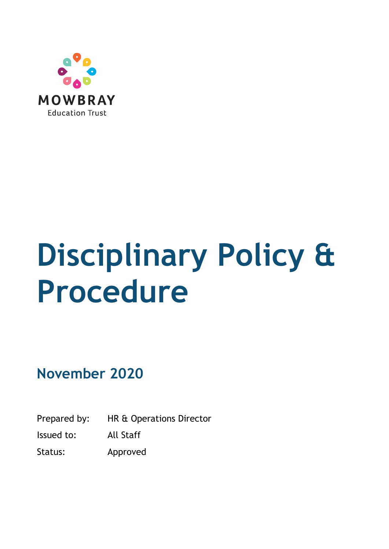

# **Disciplinary Policy & Procedure**

**November 2020**

Prepared by: HR & Operations Director

Issued to: All Staff

Status: Approved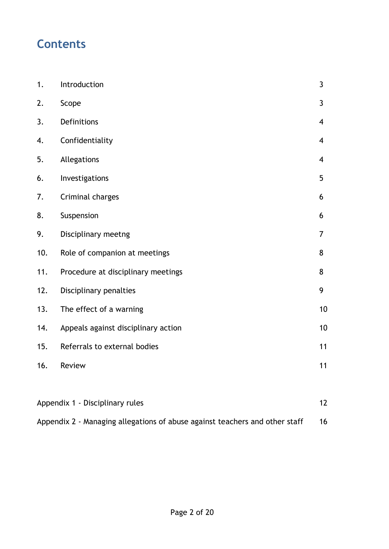## **Contents**

| 1.                                    | Introduction                        | $\mathbf{3}$             |
|---------------------------------------|-------------------------------------|--------------------------|
| 2.                                    | Scope                               | $\mathbf{3}$             |
| 3.                                    | Definitions                         | $\overline{4}$           |
| 4.                                    | Confidentiality                     | $\overline{4}$           |
| 5.                                    | Allegations                         | $\overline{\mathcal{A}}$ |
| 6.                                    | Investigations                      | 5                        |
| 7.                                    | Criminal charges                    | 6                        |
| 8.                                    | Suspension                          | 6                        |
| 9.                                    | Disciplinary meetng                 | $\overline{7}$           |
| 10.                                   | Role of companion at meetings       | 8                        |
| 11.                                   | Procedure at disciplinary meetings  | 8                        |
| 12.                                   | Disciplinary penalties              | 9                        |
| 13.                                   | The effect of a warning             | 10                       |
| 14.                                   | Appeals against disciplinary action | 10                       |
| 15.                                   | Referrals to external bodies        | 11                       |
| 16.                                   | Review                              | 11                       |
|                                       |                                     |                          |
| 12<br>Appendix 1 - Disciplinary rules |                                     |                          |

| Appendix 2 - Managing allegations of abuse against teachers and other staff |
|-----------------------------------------------------------------------------|
|                                                                             |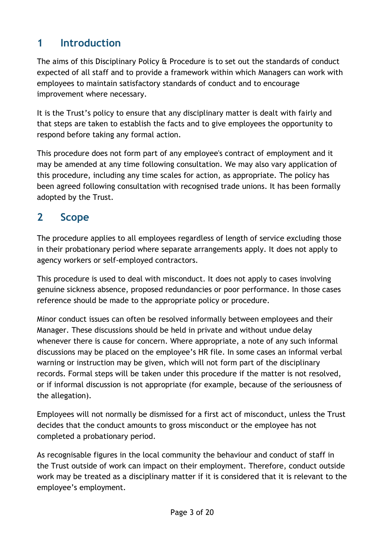#### <span id="page-2-0"></span>**1 Introduction**

The aims of this Disciplinary Policy & Procedure is to set out the standards of conduct expected of all staff and to provide a framework within which Managers can work with employees to maintain satisfactory standards of conduct and to encourage improvement where necessary.

It is the Trust's policy to ensure that any disciplinary matter is dealt with fairly and that steps are taken to establish the facts and to give employees the opportunity to respond before taking any formal action.

This procedure does not form part of any employee's contract of employment and it may be amended at any time following consultation. We may also vary application of this procedure, including any time scales for action, as appropriate. The policy has been agreed following consultation with recognised trade unions. It has been formally adopted by the Trust.

#### <span id="page-2-1"></span>**2 Scope**

The procedure applies to all employees regardless of length of service excluding those in their probationary period where separate arrangements apply. It does not apply to agency workers or self-employed contractors.

This procedure is used to deal with misconduct. It does not apply to cases involving genuine sickness absence, proposed redundancies or poor performance. In those cases reference should be made to the appropriate policy or procedure.

Minor conduct issues can often be resolved informally between employees and their Manager. These discussions should be held in private and without undue delay whenever there is cause for concern. Where appropriate, a note of any such informal discussions may be placed on the employee's HR file. In some cases an informal verbal warning or instruction may be given, which will not form part of the disciplinary records. Formal steps will be taken under this procedure if the matter is not resolved, or if informal discussion is not appropriate (for example, because of the seriousness of the allegation).

Employees will not normally be dismissed for a first act of misconduct, unless the Trust decides that the conduct amounts to gross misconduct or the employee has not completed a probationary period.

As recognisable figures in the local community the behaviour and conduct of staff in the Trust outside of work can impact on their employment. Therefore, conduct outside work may be treated as a disciplinary matter if it is considered that it is relevant to the employee's employment.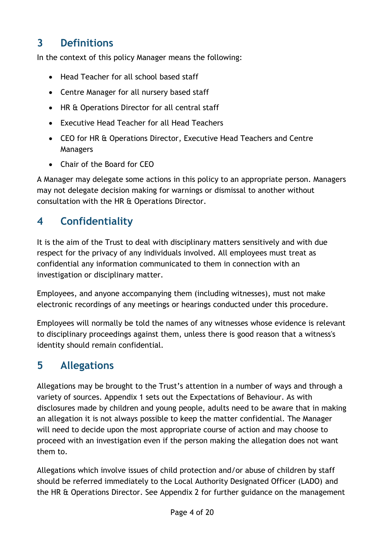## **3 Definitions**

In the context of this policy Manager means the following:

- Head Teacher for all school based staff
- Centre Manager for all nursery based staff
- HR & Operations Director for all central staff
- Executive Head Teacher for all Head Teachers
- CEO for HR & Operations Director, Executive Head Teachers and Centre Managers
- Chair of the Board for CEO

A Manager may delegate some actions in this policy to an appropriate person. Managers may not delegate decision making for warnings or dismissal to another without consultation with the HR & Operations Director.

## <span id="page-3-0"></span>**4 Confidentiality**

It is the aim of the Trust to deal with disciplinary matters sensitively and with due respect for the privacy of any individuals involved. All employees must treat as confidential any information communicated to them in connection with an investigation or disciplinary matter.

Employees, and anyone accompanying them (including witnesses), must not make electronic recordings of any meetings or hearings conducted under this procedure.

Employees will normally be told the names of any witnesses whose evidence is relevant to disciplinary proceedings against them, unless there is good reason that a witness's identity should remain confidential.

## <span id="page-3-1"></span>**5 Allegations**

Allegations may be brought to the Trust's attention in a number of ways and through a variety of sources. Appendix 1 sets out the Expectations of Behaviour. As with disclosures made by children and young people, adults need to be aware that in making an allegation it is not always possible to keep the matter confidential. The Manager will need to decide upon the most appropriate course of action and may choose to proceed with an investigation even if the person making the allegation does not want them to.

Allegations which involve issues of child protection and/or abuse of children by staff should be referred immediately to the Local Authority Designated Officer (LADO) and the HR & Operations Director. See Appendix 2 for further guidance on the management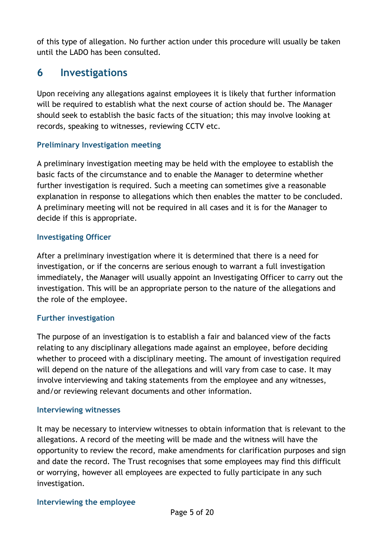of this type of allegation. No further action under this procedure will usually be taken until the LADO has been consulted.

#### <span id="page-4-0"></span>**6 Investigations**

Upon receiving any allegations against employees it is likely that further information will be required to establish what the next course of action should be. The Manager should seek to establish the basic facts of the situation; this may involve looking at records, speaking to witnesses, reviewing CCTV etc.

#### **Preliminary Investigation meeting**

A preliminary investigation meeting may be held with the employee to establish the basic facts of the circumstance and to enable the Manager to determine whether further investigation is required. Such a meeting can sometimes give a reasonable explanation in response to allegations which then enables the matter to be concluded. A preliminary meeting will not be required in all cases and it is for the Manager to decide if this is appropriate.

#### **Investigating Officer**

After a preliminary investigation where it is determined that there is a need for investigation, or if the concerns are serious enough to warrant a full investigation immediately, the Manager will usually appoint an Investigating Officer to carry out the investigation. This will be an appropriate person to the nature of the allegations and the role of the employee.

#### **Further investigation**

The purpose of an investigation is to establish a fair and balanced view of the facts relating to any disciplinary allegations made against an employee, before deciding whether to proceed with a disciplinary meeting. The amount of investigation required will depend on the nature of the allegations and will vary from case to case. It may involve interviewing and taking statements from the employee and any witnesses, and/or reviewing relevant documents and other information.

#### **Interviewing witnesses**

It may be necessary to interview witnesses to obtain information that is relevant to the allegations. A record of the meeting will be made and the witness will have the opportunity to review the record, make amendments for clarification purposes and sign and date the record. The Trust recognises that some employees may find this difficult or worrying, however all employees are expected to fully participate in any such investigation.

#### **Interviewing the employee**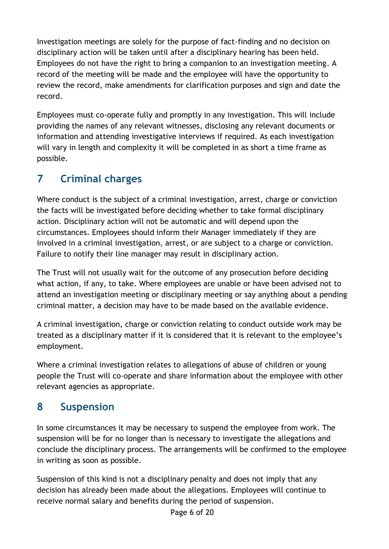Investigation meetings are solely for the purpose of fact-finding and no decision on disciplinary action will be taken until after a disciplinary hearing has been held. Employees do not have the right to bring a companion to an investigation meeting. A record of the meeting will be made and the employee will have the opportunity to review the record, make amendments for clarification purposes and sign and date the record.

Employees must co-operate fully and promptly in any investigation. This will include providing the names of any relevant witnesses, disclosing any relevant documents or information and attending investigative interviews if required. As each investigation will vary in length and complexity it will be completed in as short a time frame as possible.

## <span id="page-5-0"></span>**7 Criminal charges**

Where conduct is the subject of a criminal investigation, arrest, charge or conviction the facts will be investigated before deciding whether to take formal disciplinary action. Disciplinary action will not be automatic and will depend upon the circumstances. Employees should inform their Manager immediately if they are involved in a criminal investigation, arrest, or are subject to a charge or conviction. Failure to notify their line manager may result in disciplinary action.

The Trust will not usually wait for the outcome of any prosecution before deciding what action, if any, to take. Where employees are unable or have been advised not to attend an investigation meeting or disciplinary meeting or say anything about a pending criminal matter, a decision may have to be made based on the available evidence.

A criminal investigation, charge or conviction relating to conduct outside work may be treated as a disciplinary matter if it is considered that it is relevant to the employee's employment.

Where a criminal investigation relates to allegations of abuse of children or young people the Trust will co-operate and share information about the employee with other relevant agencies as appropriate.

## <span id="page-5-1"></span>**8 Suspension**

In some circumstances it may be necessary to suspend the employee from work. The suspension will be for no longer than is necessary to investigate the allegations and conclude the disciplinary process. The arrangements will be confirmed to the employee in writing as soon as possible.

Suspension of this kind is not a disciplinary penalty and does not imply that any decision has already been made about the allegations. Employees will continue to receive normal salary and benefits during the period of suspension.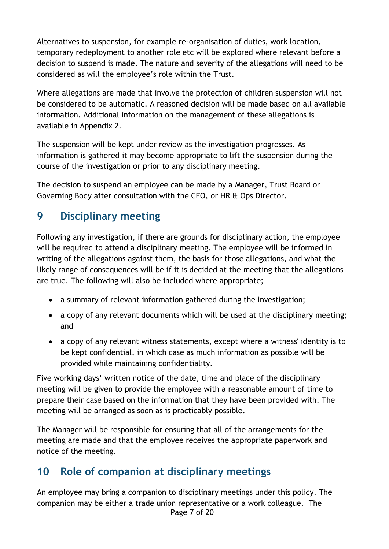Alternatives to suspension, for example re-organisation of duties, work location, temporary redeployment to another role etc will be explored where relevant before a decision to suspend is made. The nature and severity of the allegations will need to be considered as will the employee's role within the Trust.

Where allegations are made that involve the protection of children suspension will not be considered to be automatic. A reasoned decision will be made based on all available information. Additional information on the management of these allegations is available in Appendix 2.

The suspension will be kept under review as the investigation progresses. As information is gathered it may become appropriate to lift the suspension during the course of the investigation or prior to any disciplinary meeting.

The decision to suspend an employee can be made by a Manager, Trust Board or Governing Body after consultation with the CEO, or HR & Ops Director.

## <span id="page-6-0"></span>**9 Disciplinary meeting**

Following any investigation, if there are grounds for disciplinary action, the employee will be required to attend a disciplinary meeting. The employee will be informed in writing of the allegations against them, the basis for those allegations, and what the likely range of consequences will be if it is decided at the meeting that the allegations are true. The following will also be included where appropriate;

- a summary of relevant information gathered during the investigation;
- a copy of any relevant documents which will be used at the disciplinary meeting; and
- a copy of any relevant witness statements, except where a witness' identity is to be kept confidential, in which case as much information as possible will be provided while maintaining confidentiality.

Five working days' written notice of the date, time and place of the disciplinary meeting will be given to provide the employee with a reasonable amount of time to prepare their case based on the information that they have been provided with. The meeting will be arranged as soon as is practicably possible.

The Manager will be responsible for ensuring that all of the arrangements for the meeting are made and that the employee receives the appropriate paperwork and notice of the meeting.

#### <span id="page-6-1"></span>**10 Role of companion at disciplinary meetings**

Page 7 of 20 An employee may bring a companion to disciplinary meetings under this policy. The companion may be either a trade union representative or a work colleague. The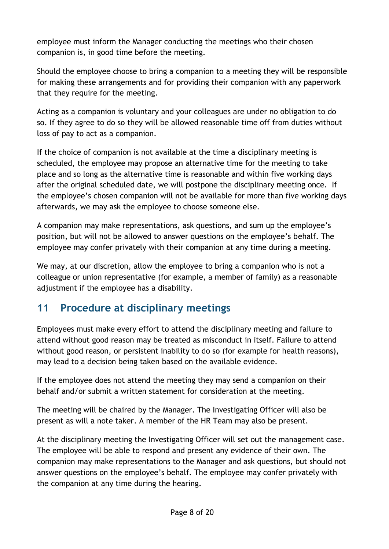employee must inform the Manager conducting the meetings who their chosen companion is, in good time before the meeting.

Should the employee choose to bring a companion to a meeting they will be responsible for making these arrangements and for providing their companion with any paperwork that they require for the meeting.

Acting as a companion is voluntary and your colleagues are under no obligation to do so. If they agree to do so they will be allowed reasonable time off from duties without loss of pay to act as a companion.

If the choice of companion is not available at the time a disciplinary meeting is scheduled, the employee may propose an alternative time for the meeting to take place and so long as the alternative time is reasonable and within five working days after the original scheduled date, we will postpone the disciplinary meeting once. If the employee's chosen companion will not be available for more than five working days afterwards, we may ask the employee to choose someone else.

A companion may make representations, ask questions, and sum up the employee's position, but will not be allowed to answer questions on the employee's behalf. The employee may confer privately with their companion at any time during a meeting.

We may, at our discretion, allow the employee to bring a companion who is not a colleague or union representative (for example, a member of family) as a reasonable adjustment if the employee has a disability.

#### <span id="page-7-0"></span>**11 Procedure at disciplinary meetings**

Employees must make every effort to attend the disciplinary meeting and failure to attend without good reason may be treated as misconduct in itself. Failure to attend without good reason, or persistent inability to do so (for example for health reasons), may lead to a decision being taken based on the available evidence.

If the employee does not attend the meeting they may send a companion on their behalf and/or submit a written statement for consideration at the meeting.

The meeting will be chaired by the Manager. The Investigating Officer will also be present as will a note taker. A member of the HR Team may also be present.

At the disciplinary meeting the Investigating Officer will set out the management case. The employee will be able to respond and present any evidence of their own. The companion may make representations to the Manager and ask questions, but should not answer questions on the employee's behalf. The employee may confer privately with the companion at any time during the hearing.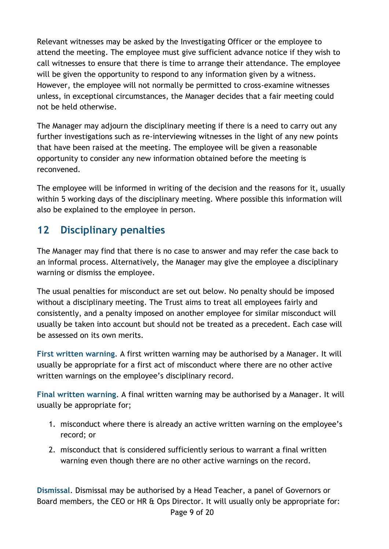Relevant witnesses may be asked by the Investigating Officer or the employee to attend the meeting. The employee must give sufficient advance notice if they wish to call witnesses to ensure that there is time to arrange their attendance. The employee will be given the opportunity to respond to any information given by a witness. However, the employee will not normally be permitted to cross-examine witnesses unless, in exceptional circumstances, the Manager decides that a fair meeting could not be held otherwise.

The Manager may adjourn the disciplinary meeting if there is a need to carry out any further investigations such as re-interviewing witnesses in the light of any new points that have been raised at the meeting. The employee will be given a reasonable opportunity to consider any new information obtained before the meeting is reconvened.

The employee will be informed in writing of the decision and the reasons for it, usually within 5 working days of the disciplinary meeting. Where possible this information will also be explained to the employee in person.

#### <span id="page-8-0"></span>**12 Disciplinary penalties**

The Manager may find that there is no case to answer and may refer the case back to an informal process. Alternatively, the Manager may give the employee a disciplinary warning or dismiss the employee.

The usual penalties for misconduct are set out below. No penalty should be imposed without a disciplinary meeting. The Trust aims to treat all employees fairly and consistently, and a penalty imposed on another employee for similar misconduct will usually be taken into account but should not be treated as a precedent. Each case will be assessed on its own merits.

**First written warning**. A first written warning may be authorised by a Manager. It will usually be appropriate for a first act of misconduct where there are no other active written warnings on the employee's disciplinary record.

**Final written warning**. A final written warning may be authorised by a Manager. It will usually be appropriate for;

- 1. misconduct where there is already an active written warning on the employee's record; or
- 2. misconduct that is considered sufficiently serious to warrant a final written warning even though there are no other active warnings on the record.

Page 9 of 20 **Dismissal**. Dismissal may be authorised by a Head Teacher, a panel of Governors or Board members, the CEO or HR & Ops Director. It will usually only be appropriate for: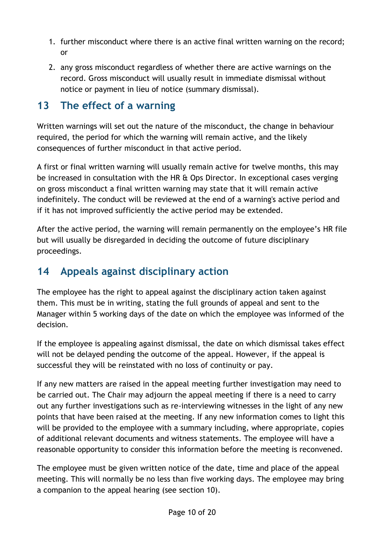- 1. further misconduct where there is an active final written warning on the record; or
- 2. any gross misconduct regardless of whether there are active warnings on the record. Gross misconduct will usually result in immediate dismissal without notice or payment in lieu of notice (summary dismissal).

#### <span id="page-9-0"></span>**13 The effect of a warning**

Written warnings will set out the nature of the misconduct, the change in behaviour required, the period for which the warning will remain active, and the likely consequences of further misconduct in that active period.

A first or final written warning will usually remain active for twelve months, this may be increased in consultation with the HR & Ops Director. In exceptional cases verging on gross misconduct a final written warning may state that it will remain active indefinitely. The conduct will be reviewed at the end of a warning's active period and if it has not improved sufficiently the active period may be extended.

After the active period, the warning will remain permanently on the employee's HR file but will usually be disregarded in deciding the outcome of future disciplinary proceedings.

## <span id="page-9-1"></span>**14 Appeals against disciplinary action**

The employee has the right to appeal against the disciplinary action taken against them. This must be in writing, stating the full grounds of appeal and sent to the Manager within 5 working days of the date on which the employee was informed of the decision.

If the employee is appealing against dismissal, the date on which dismissal takes effect will not be delayed pending the outcome of the appeal. However, if the appeal is successful they will be reinstated with no loss of continuity or pay.

If any new matters are raised in the appeal meeting further investigation may need to be carried out. The Chair may adjourn the appeal meeting if there is a need to carry out any further investigations such as re-interviewing witnesses in the light of any new points that have been raised at the meeting. If any new information comes to light this will be provided to the employee with a summary including, where appropriate, copies of additional relevant documents and witness statements. The employee will have a reasonable opportunity to consider this information before the meeting is reconvened.

The employee must be given written notice of the date, time and place of the appeal meeting. This will normally be no less than five working days. The employee may bring a companion to the appeal hearing (see section 10).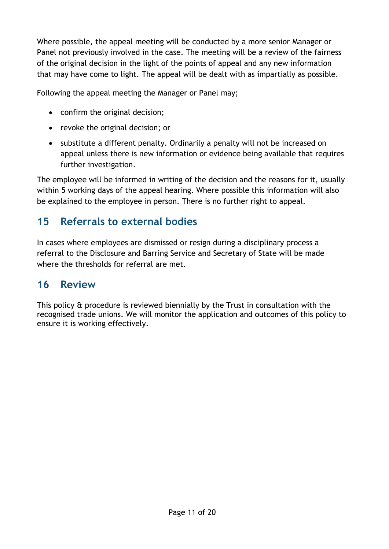Where possible, the appeal meeting will be conducted by a more senior Manager or Panel not previously involved in the case. The meeting will be a review of the fairness of the original decision in the light of the points of appeal and any new information that may have come to light. The appeal will be dealt with as impartially as possible.

Following the appeal meeting the Manager or Panel may;

- confirm the original decision;
- revoke the original decision; or
- substitute a different penalty. Ordinarily a penalty will not be increased on appeal unless there is new information or evidence being available that requires further investigation.

The employee will be informed in writing of the decision and the reasons for it, usually within 5 working days of the appeal hearing. Where possible this information will also be explained to the employee in person. There is no further right to appeal.

#### <span id="page-10-0"></span>**15 Referrals to external bodies**

In cases where employees are dismissed or resign during a disciplinary process a referral to the Disclosure and Barring Service and Secretary of State will be made where the thresholds for referral are met.

#### <span id="page-10-1"></span>**16 Review**

This policy & procedure is reviewed biennially by the Trust in consultation with the recognised trade unions. We will monitor the application and outcomes of this policy to ensure it is working effectively.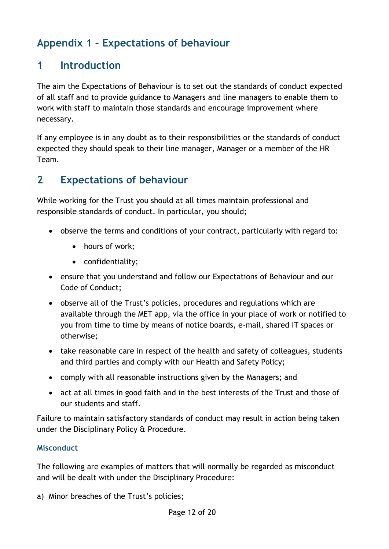## <span id="page-11-0"></span>**Appendix 1 – Expectations of behaviour**

#### **1 Introduction**

The aim the Expectations of Behaviour is to set out the standards of conduct expected of all staff and to provide guidance to Managers and line managers to enable them to work with staff to maintain those standards and encourage improvement where necessary.

If any employee is in any doubt as to their responsibilities or the standards of conduct expected they should speak to their line manager, Manager or a member of the HR Team.

#### **2 Expectations of behaviour**

While working for the Trust you should at all times maintain professional and responsible standards of conduct. In particular, you should;

- observe the terms and conditions of your contract, particularly with regard to:
	- hours of work;
	- confidentiality;
- ensure that you understand and follow our Expectations of Behaviour and our Code of Conduct;
- observe all of the Trust's policies, procedures and regulations which are available through the MET app, via the office in your place of work or notified to you from time to time by means of notice boards, e-mail, shared IT spaces or otherwise;
- take reasonable care in respect of the health and safety of colleagues, students and third parties and comply with our Health and Safety Policy;
- comply with all reasonable instructions given by the Managers; and
- act at all times in good faith and in the best interests of the Trust and those of our students and staff.

Failure to maintain satisfactory standards of conduct may result in action being taken under the Disciplinary Policy & Procedure.

#### **Misconduct**

The following are examples of matters that will normally be regarded as misconduct and will be dealt with under the Disciplinary Procedure:

a) Minor breaches of the Trust's policies;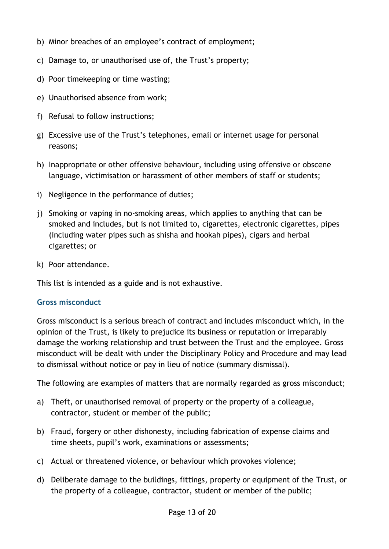- b) Minor breaches of an employee's contract of employment;
- c) Damage to, or unauthorised use of, the Trust's property;
- d) Poor timekeeping or time wasting;
- e) Unauthorised absence from work;
- f) Refusal to follow instructions;
- g) Excessive use of the Trust's telephones, email or internet usage for personal reasons;
- h) Inappropriate or other offensive behaviour, including using offensive or obscene language, victimisation or harassment of other members of staff or students;
- i) Negligence in the performance of duties;
- j) Smoking or vaping in no-smoking areas, which applies to anything that can be smoked and includes, but is not limited to, cigarettes, electronic cigarettes, pipes (including water pipes such as shisha and hookah pipes), cigars and herbal cigarettes; or
- k) Poor attendance.

This list is intended as a guide and is not exhaustive.

#### **Gross misconduct**

Gross misconduct is a serious breach of contract and includes misconduct which, in the opinion of the Trust, is likely to prejudice its business or reputation or irreparably damage the working relationship and trust between the Trust and the employee. Gross misconduct will be dealt with under the Disciplinary Policy and Procedure and may lead to dismissal without notice or pay in lieu of notice (summary dismissal).

The following are examples of matters that are normally regarded as gross misconduct;

- a) Theft, or unauthorised removal of property or the property of a colleague, contractor, student or member of the public;
- b) Fraud, forgery or other dishonesty, including fabrication of expense claims and time sheets, pupil's work, examinations or assessments;
- c) Actual or threatened violence, or behaviour which provokes violence;
- d) Deliberate damage to the buildings, fittings, property or equipment of the Trust, or the property of a colleague, contractor, student or member of the public;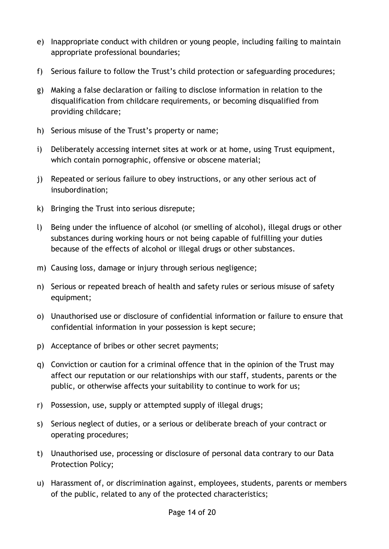- e) Inappropriate conduct with children or young people, including failing to maintain appropriate professional boundaries;
- f) Serious failure to follow the Trust's child protection or safeguarding procedures;
- g) Making a false declaration or failing to disclose information in relation to the disqualification from childcare requirements, or becoming disqualified from providing childcare;
- h) Serious misuse of the Trust's property or name;
- i) Deliberately accessing internet sites at work or at home, using Trust equipment, which contain pornographic, offensive or obscene material;
- j) Repeated or serious failure to obey instructions, or any other serious act of insubordination;
- k) Bringing the Trust into serious disrepute;
- l) Being under the influence of alcohol (or smelling of alcohol), illegal drugs or other substances during working hours or not being capable of fulfilling your duties because of the effects of alcohol or illegal drugs or other substances.
- m) Causing loss, damage or injury through serious negligence;
- n) Serious or repeated breach of health and safety rules or serious misuse of safety equipment;
- o) Unauthorised use or disclosure of confidential information or failure to ensure that confidential information in your possession is kept secure;
- p) Acceptance of bribes or other secret payments;
- q) Conviction or caution for a criminal offence that in the opinion of the Trust may affect our reputation or our relationships with our staff, students, parents or the public, or otherwise affects your suitability to continue to work for us;
- r) Possession, use, supply or attempted supply of illegal drugs;
- s) Serious neglect of duties, or a serious or deliberate breach of your contract or operating procedures;
- t) Unauthorised use, processing or disclosure of personal data contrary to our Data Protection Policy;
- u) Harassment of, or discrimination against, employees, students, parents or members of the public, related to any of the protected characteristics;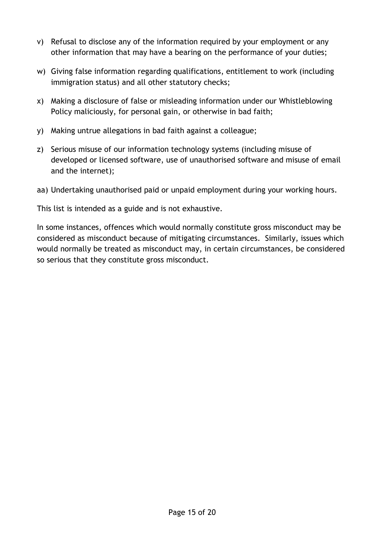- v) Refusal to disclose any of the information required by your employment or any other information that may have a bearing on the performance of your duties;
- w) Giving false information regarding qualifications, entitlement to work (including immigration status) and all other statutory checks;
- x) Making a disclosure of false or misleading information under our Whistleblowing Policy maliciously, for personal gain, or otherwise in bad faith;
- y) Making untrue allegations in bad faith against a colleague;
- z) Serious misuse of our information technology systems (including misuse of developed or licensed software, use of unauthorised software and misuse of email and the internet);
- aa) Undertaking unauthorised paid or unpaid employment during your working hours.

This list is intended as a guide and is not exhaustive.

In some instances, offences which would normally constitute gross misconduct may be considered as misconduct because of mitigating circumstances. Similarly, issues which would normally be treated as misconduct may, in certain circumstances, be considered so serious that they constitute gross misconduct.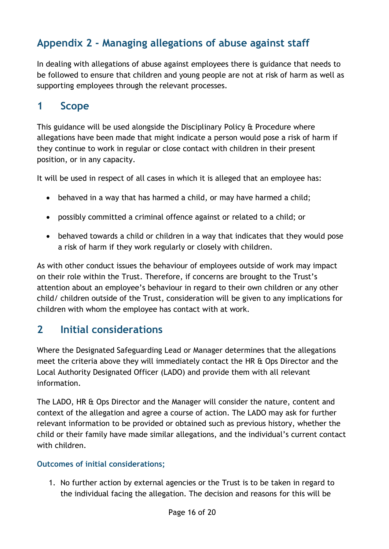## <span id="page-15-0"></span>**Appendix 2 - Managing allegations of abuse against staff**

In dealing with allegations of abuse against employees there is guidance that needs to be followed to ensure that children and young people are not at risk of harm as well as supporting employees through the relevant processes.

#### **1 Scope**

This guidance will be used alongside the Disciplinary Policy & Procedure where allegations have been made that might indicate a person would pose a risk of harm if they continue to work in regular or close contact with children in their present position, or in any capacity.

It will be used in respect of all cases in which it is alleged that an employee has:

- behaved in a way that has harmed a child, or may have harmed a child;
- possibly committed a criminal offence against or related to a child; or
- behaved towards a child or children in a way that indicates that they would pose a risk of harm if they work regularly or closely with children.

As with other conduct issues the behaviour of employees outside of work may impact on their role within the Trust. Therefore, if concerns are brought to the Trust's attention about an employee's behaviour in regard to their own children or any other child/ children outside of the Trust, consideration will be given to any implications for children with whom the employee has contact with at work.

#### **2 Initial considerations**

Where the Designated Safeguarding Lead or Manager determines that the allegations meet the criteria above they will immediately contact the HR & Ops Director and the Local Authority Designated Officer (LADO) and provide them with all relevant information.

The LADO, HR & Ops Director and the Manager will consider the nature, content and context of the allegation and agree a course of action. The LADO may ask for further relevant information to be provided or obtained such as previous history, whether the child or their family have made similar allegations, and the individual's current contact with children.

#### **Outcomes of initial considerations;**

1. No further action by external agencies or the Trust is to be taken in regard to the individual facing the allegation. The decision and reasons for this will be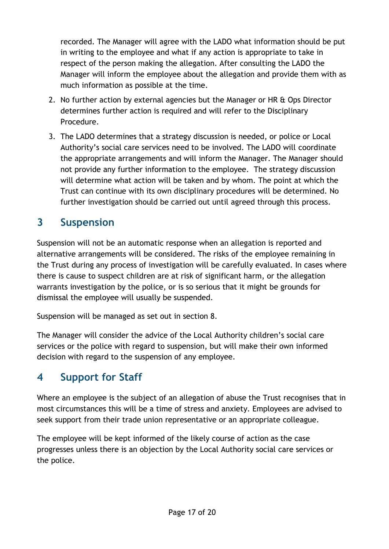recorded. The Manager will agree with the LADO what information should be put in writing to the employee and what if any action is appropriate to take in respect of the person making the allegation. After consulting the LADO the Manager will inform the employee about the allegation and provide them with as much information as possible at the time.

- 2. No further action by external agencies but the Manager or HR & Ops Director determines further action is required and will refer to the Disciplinary Procedure.
- 3. The LADO determines that a strategy discussion is needed, or police or Local Authority's social care services need to be involved. The LADO will coordinate the appropriate arrangements and will inform the Manager. The Manager should not provide any further information to the employee. The strategy discussion will determine what action will be taken and by whom. The point at which the Trust can continue with its own disciplinary procedures will be determined. No further investigation should be carried out until agreed through this process.

#### **3 Suspension**

Suspension will not be an automatic response when an allegation is reported and alternative arrangements will be considered. The risks of the employee remaining in the Trust during any process of investigation will be carefully evaluated. In cases where there is cause to suspect children are at risk of significant harm, or the allegation warrants investigation by the police, or is so serious that it might be grounds for dismissal the employee will usually be suspended.

Suspension will be managed as set out in section 8.

The Manager will consider the advice of the Local Authority children's social care services or the police with regard to suspension, but will make their own informed decision with regard to the suspension of any employee.

#### **4 Support for Staff**

Where an employee is the subject of an allegation of abuse the Trust recognises that in most circumstances this will be a time of stress and anxiety. Employees are advised to seek support from their trade union representative or an appropriate colleague.

The employee will be kept informed of the likely course of action as the case progresses unless there is an objection by the Local Authority social care services or the police.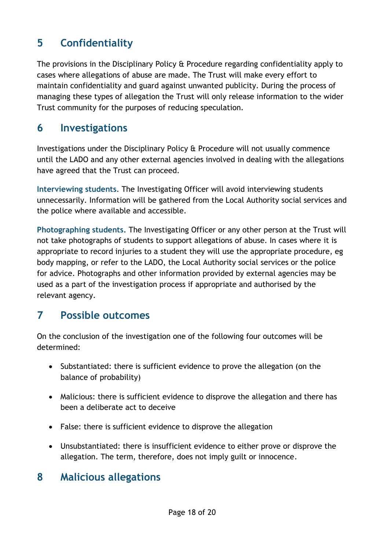## **5 Confidentiality**

The provisions in the Disciplinary Policy & Procedure regarding confidentiality apply to cases where allegations of abuse are made. The Trust will make every effort to maintain confidentiality and guard against unwanted publicity. During the process of managing these types of allegation the Trust will only release information to the wider Trust community for the purposes of reducing speculation.

#### **6 Investigations**

Investigations under the Disciplinary Policy & Procedure will not usually commence until the LADO and any other external agencies involved in dealing with the allegations have agreed that the Trust can proceed.

**Interviewing students**. The Investigating Officer will avoid interviewing students unnecessarily. Information will be gathered from the Local Authority social services and the police where available and accessible.

**Photographing students.** The Investigating Officer or any other person at the Trust will not take photographs of students to support allegations of abuse. In cases where it is appropriate to record injuries to a student they will use the appropriate procedure, eg body mapping, or refer to the LADO, the Local Authority social services or the police for advice. Photographs and other information provided by external agencies may be used as a part of the investigation process if appropriate and authorised by the relevant agency.

#### **7 Possible outcomes**

On the conclusion of the investigation one of the following four outcomes will be determined:

- Substantiated: there is sufficient evidence to prove the allegation (on the balance of probability)
- Malicious: there is sufficient evidence to disprove the allegation and there has been a deliberate act to deceive
- False: there is sufficient evidence to disprove the allegation
- Unsubstantiated: there is insufficient evidence to either prove or disprove the allegation. The term, therefore, does not imply guilt or innocence.

#### **8 Malicious allegations**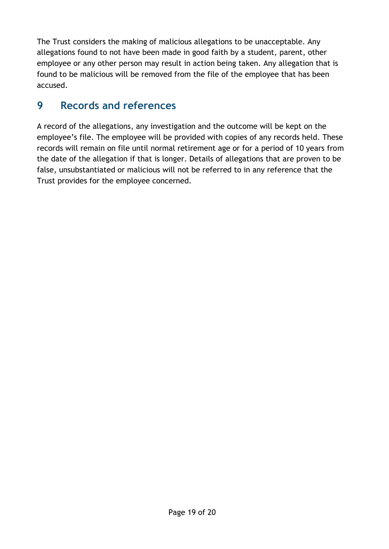The Trust considers the making of malicious allegations to be unacceptable. Any allegations found to not have been made in good faith by a student, parent, other employee or any other person may result in action being taken. Any allegation that is found to be malicious will be removed from the file of the employee that has been accused.

#### **9 Records and references**

A record of the allegations, any investigation and the outcome will be kept on the employee's file. The employee will be provided with copies of any records held. These records will remain on file until normal retirement age or for a period of 10 years from the date of the allegation if that is longer. Details of allegations that are proven to be false, unsubstantiated or malicious will not be referred to in any reference that the Trust provides for the employee concerned.